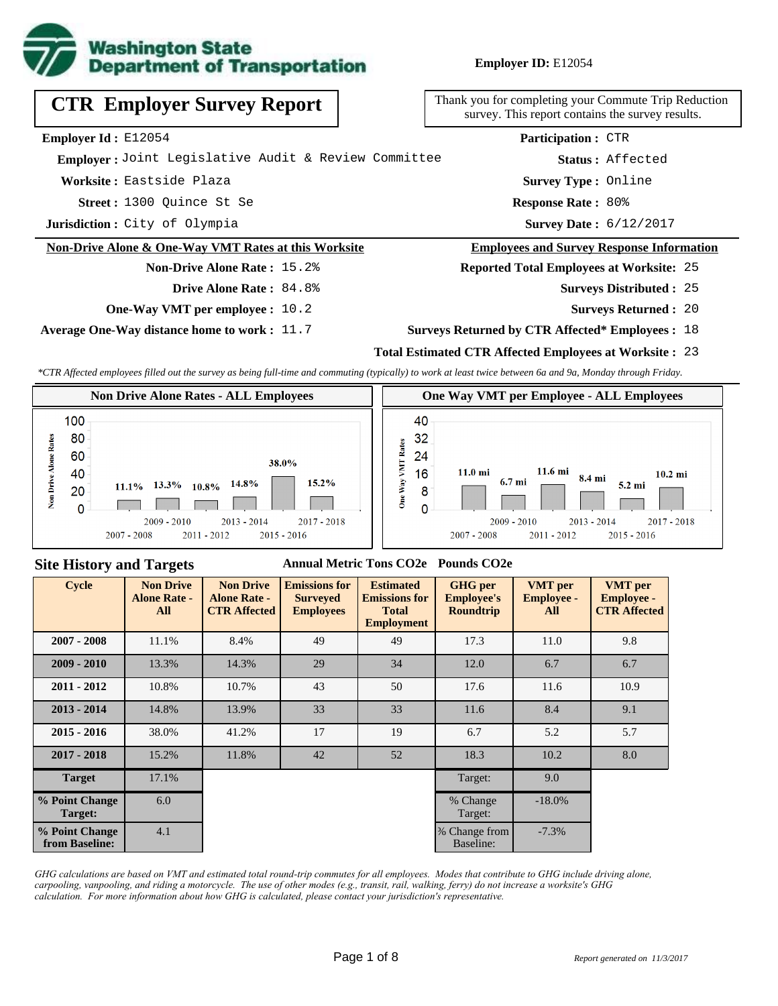

| <b>CTR Employer Survey Report</b>                               | Thank you for completing your Commute Trip Reduction<br>survey. This report contains the survey results. |
|-----------------------------------------------------------------|----------------------------------------------------------------------------------------------------------|
| <b>Employer Id: E12054</b>                                      | <b>Participation: CTR</b>                                                                                |
| Emplover: Joint Legislative Audit & Review Committee            | Status: Affected                                                                                         |
| Worksite: Eastside Plaza                                        | <b>Survey Type: Online</b>                                                                               |
| Street: 1300 Ouince St Se                                       | <b>Response Rate: 80%</b>                                                                                |
| Jurisdiction: City of Olympia                                   | <b>Survey Date: 6/12/2017</b>                                                                            |
| <b>Non-Drive Alone &amp; One-Way VMT Rates at this Worksite</b> | <b>Employees and Survey Response Information</b>                                                         |
| <b>Non-Drive Alone Rate: 15.2%</b>                              | <b>Reported Total Employees at Worksite: 25</b>                                                          |
| <b>Drive Alone Rate: 84.8%</b>                                  | <b>Surveys Distributed : 25</b>                                                                          |

**One-Way VMT per employee :** 10.2

**Average One-Way distance home to work :** 11.7

### **Surveys Returned :** 20

#### **Surveys Returned by CTR Affected\* Employees :** 18

### **Total Estimated CTR Affected Employees at Worksite :** 23

*\*CTR Affected employees filled out the survey as being full-time and commuting (typically) to work at least twice between 6a and 9a, Monday through Friday.*



### **Site History and Targets**

#### **Annual Metric Tons CO2e Pounds CO2e**

| Cycle                            | <b>Non Drive</b><br><b>Alone Rate -</b><br>All | <b>Non Drive</b><br><b>Alone Rate -</b><br><b>CTR Affected</b> | <b>Emissions for</b><br><b>Surveyed</b><br><b>Employees</b> | <b>Estimated</b><br><b>Emissions for</b><br><b>Total</b><br><b>Employment</b> | <b>GHG</b> per<br><b>Employee's</b><br>Roundtrip | <b>VMT</b> per<br><b>Employee -</b><br>All | <b>VMT</b> per<br><b>Employee -</b><br><b>CTR Affected</b> |
|----------------------------------|------------------------------------------------|----------------------------------------------------------------|-------------------------------------------------------------|-------------------------------------------------------------------------------|--------------------------------------------------|--------------------------------------------|------------------------------------------------------------|
| $2007 - 2008$                    | 11.1%                                          | 8.4%                                                           | 49                                                          | 49                                                                            | 17.3                                             | 11.0                                       | 9.8                                                        |
| $2009 - 2010$                    | 13.3%                                          | 14.3%                                                          | 29                                                          | 34                                                                            | 12.0                                             | 6.7                                        | 6.7                                                        |
| $2011 - 2012$                    | 10.8%                                          | 10.7%                                                          | 43                                                          | 50                                                                            | 17.6                                             | 11.6                                       | 10.9                                                       |
| $2013 - 2014$                    | 14.8%                                          | 13.9%                                                          | 33                                                          | 33                                                                            | 11.6                                             | 8.4                                        | 9.1                                                        |
| $2015 - 2016$                    | 38.0%                                          | 41.2%                                                          | 17                                                          | 19                                                                            | 6.7                                              | 5.2                                        | 5.7                                                        |
| $2017 - 2018$                    | 15.2%                                          | 11.8%                                                          | 42                                                          | 52                                                                            | 18.3                                             | 10.2                                       | 8.0                                                        |
| <b>Target</b>                    | 17.1%                                          |                                                                |                                                             |                                                                               | Target:                                          | 9.0                                        |                                                            |
| % Point Change<br>Target:        | 6.0                                            |                                                                |                                                             |                                                                               | % Change<br>Target:                              | $-18.0\%$                                  |                                                            |
| % Point Change<br>from Baseline: | 4.1                                            |                                                                |                                                             |                                                                               | % Change from<br>Baseline:                       | $-7.3%$                                    |                                                            |

*GHG calculations are based on VMT and estimated total round-trip commutes for all employees. Modes that contribute to GHG include driving alone, carpooling, vanpooling, and riding a motorcycle. The use of other modes (e.g., transit, rail, walking, ferry) do not increase a worksite's GHG calculation. For more information about how GHG is calculated, please contact your jurisdiction's representative.*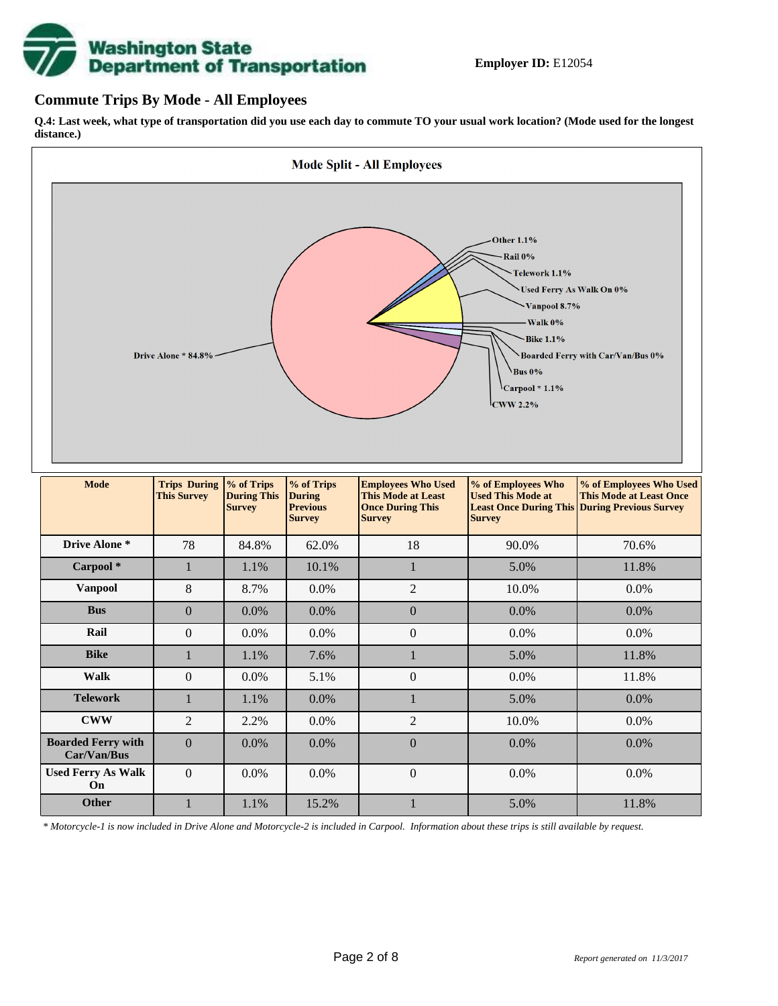

### **Commute Trips By Mode - All Employees**

**Q.4: Last week, what type of transportation did you use each day to commute TO your usual work location? (Mode used for the longest distance.)**



*\* Motorcycle-1 is now included in Drive Alone and Motorcycle-2 is included in Carpool. Information about these trips is still available by request.*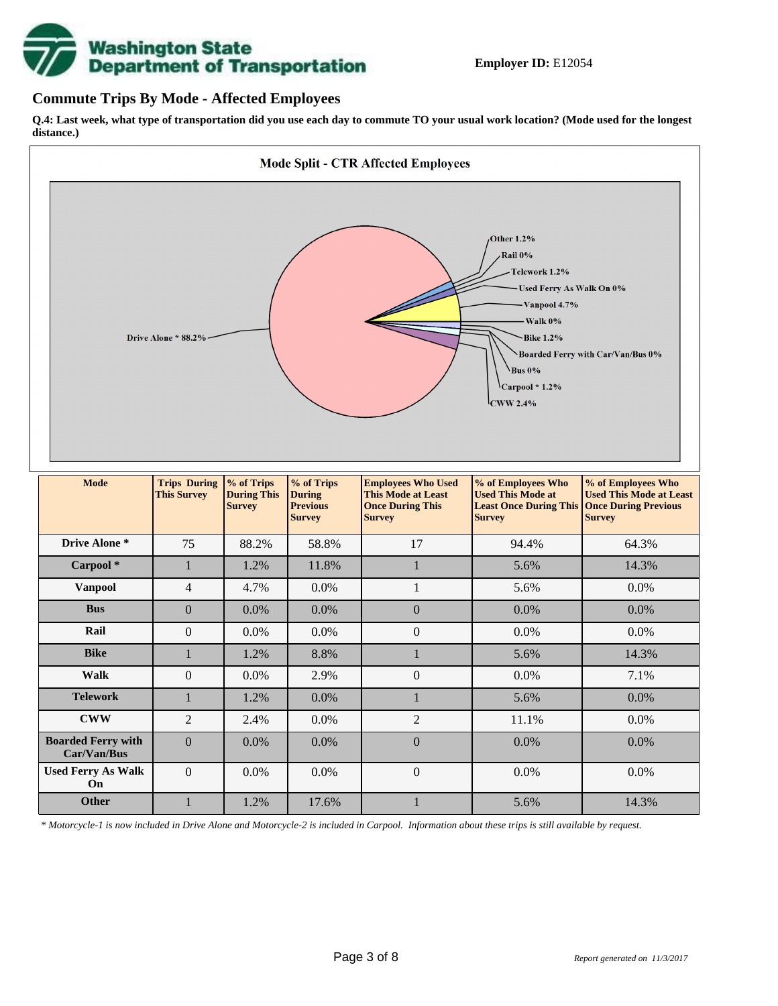

### **Commute Trips By Mode - Affected Employees**

**Q.4: Last week, what type of transportation did you use each day to commute TO your usual work location? (Mode used for the longest distance.)**



*\* Motorcycle-1 is now included in Drive Alone and Motorcycle-2 is included in Carpool. Information about these trips is still available by request.*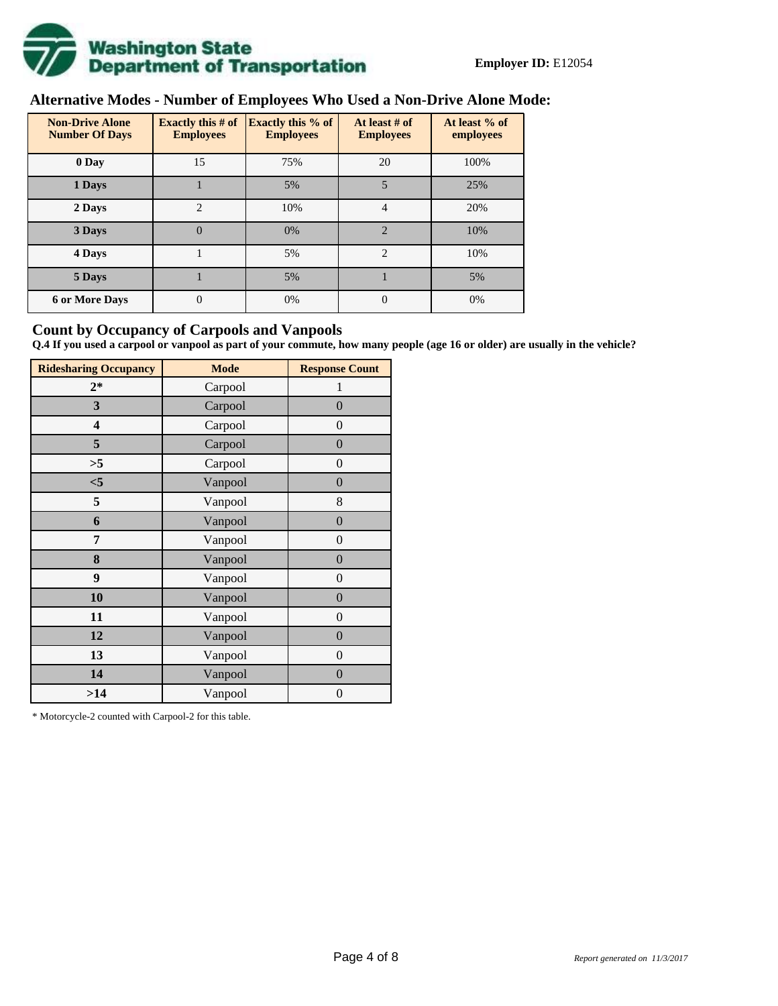

# **Alternative Modes - Number of Employees Who Used a Non-Drive Alone Mode:**

| <b>Non-Drive Alone</b><br><b>Number Of Days</b> | <b>Exactly this # of</b><br><b>Employees</b> | <b>Exactly this % of</b><br><b>Employees</b> | At least # of<br><b>Employees</b> | At least % of<br>employees |
|-------------------------------------------------|----------------------------------------------|----------------------------------------------|-----------------------------------|----------------------------|
| 0 Day                                           | 15                                           | 75%                                          | 20                                | 100%                       |
| 1 Days                                          |                                              | 5%                                           | 5                                 | 25%                        |
| $\overline{c}$<br>2 Days                        |                                              | 10%                                          | 4                                 | 20%                        |
| 3 Days                                          | $\theta$                                     | 0%                                           | $\mathfrak{D}$                    | 10%                        |
| 4 Days                                          |                                              | 5%                                           | $\overline{2}$                    | 10%                        |
| 5 Days                                          |                                              | 5%                                           |                                   | 5%                         |
| <b>6 or More Days</b>                           | 0                                            | 0%                                           | $\Omega$                          | 0%                         |

### **Count by Occupancy of Carpools and Vanpools**

**Q.4 If you used a carpool or vanpool as part of your commute, how many people (age 16 or older) are usually in the vehicle?**

| <b>Ridesharing Occupancy</b> | <b>Mode</b> | <b>Response Count</b> |
|------------------------------|-------------|-----------------------|
| $2*$                         | Carpool     | 1                     |
| 3                            | Carpool     | $\overline{0}$        |
| 4                            | Carpool     | $\theta$              |
| 5                            | Carpool     | $\overline{0}$        |
| >5                           | Carpool     | $\overline{0}$        |
| $<$ 5                        | Vanpool     | $\overline{0}$        |
| 5                            | Vanpool     | 8                     |
| 6                            | Vanpool     | $\boldsymbol{0}$      |
| 7                            | Vanpool     | $\overline{0}$        |
| 8                            | Vanpool     | $\boldsymbol{0}$      |
| 9                            | Vanpool     | $\overline{0}$        |
| 10                           | Vanpool     | $\overline{0}$        |
| 11                           | Vanpool     | $\boldsymbol{0}$      |
| 12                           | Vanpool     | $\boldsymbol{0}$      |
| 13                           | Vanpool     | $\boldsymbol{0}$      |
| 14                           | Vanpool     | $\overline{0}$        |
| >14                          | Vanpool     | $\boldsymbol{0}$      |

\* Motorcycle-2 counted with Carpool-2 for this table.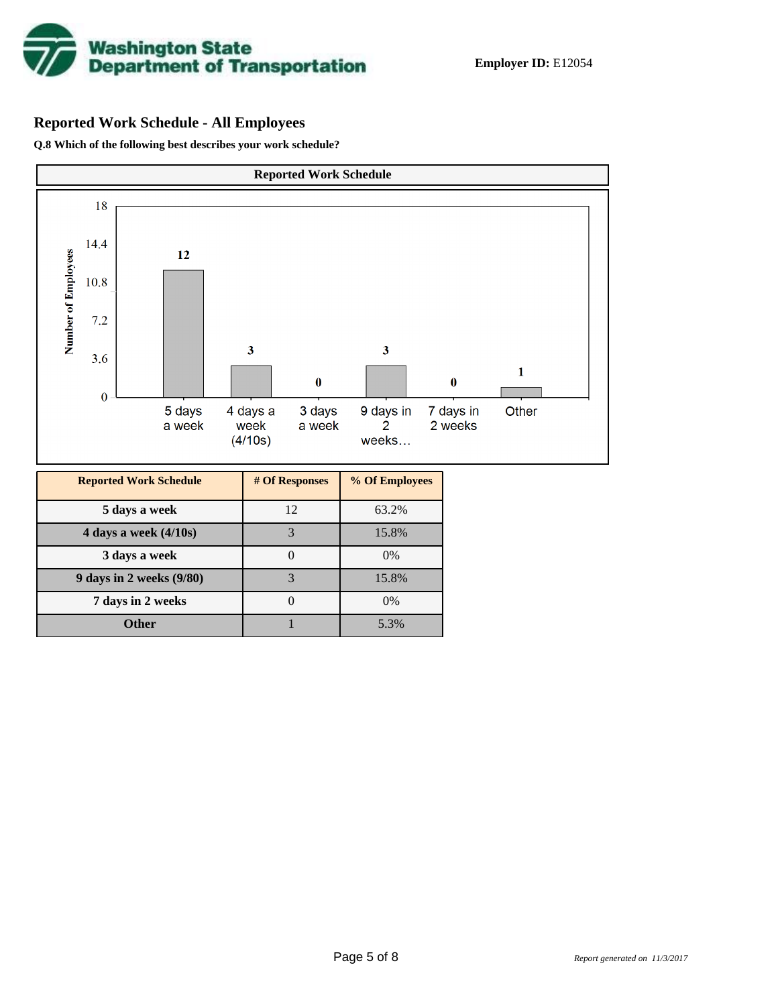

## **Reported Work Schedule - All Employees**

**Q.8 Which of the following best describes your work schedule?**

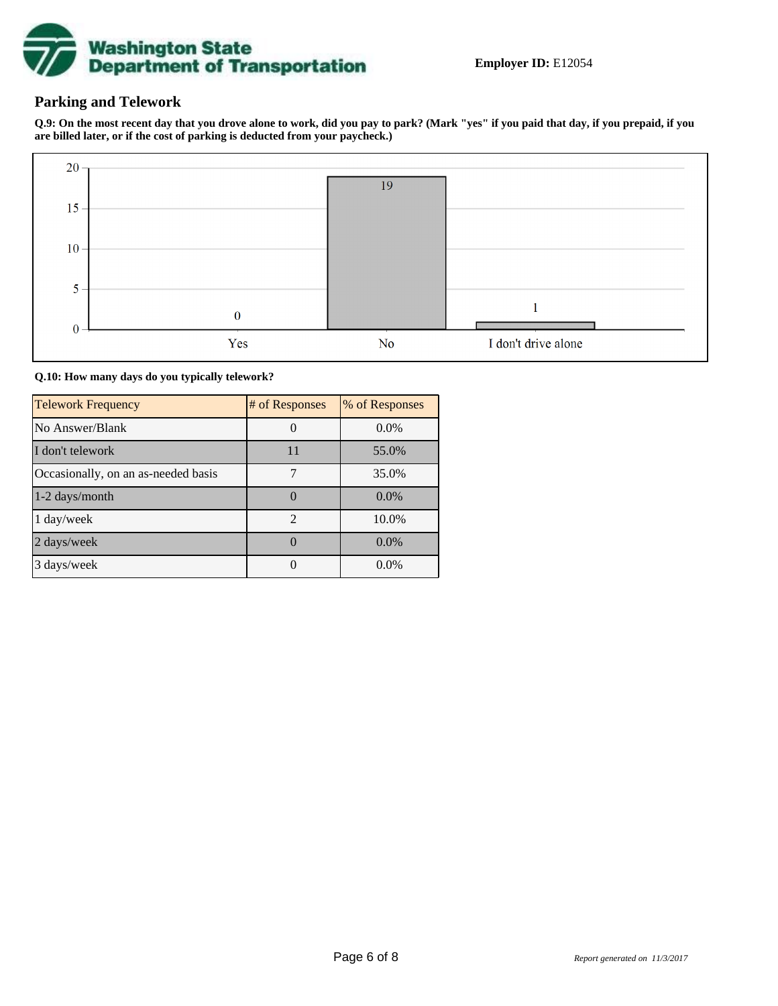

## **Parking and Telework**

**Q.9: On the most recent day that you drove alone to work, did you pay to park? (Mark "yes" if you paid that day, if you prepaid, if you are billed later, or if the cost of parking is deducted from your paycheck.)**



**Q.10: How many days do you typically telework?**

| <b>Telework Frequency</b>           | # of Responses | % of Responses |
|-------------------------------------|----------------|----------------|
| No Answer/Blank                     |                | $0.0\%$        |
| I don't telework                    | 11             | 55.0%          |
| Occasionally, on an as-needed basis |                | 35.0%          |
| 1-2 days/month                      |                | $0.0\%$        |
| 1 day/week                          | $\mathfrak{D}$ | 10.0%          |
| 2 days/week                         |                | 0.0%           |
| 3 days/week                         |                | $0.0\%$        |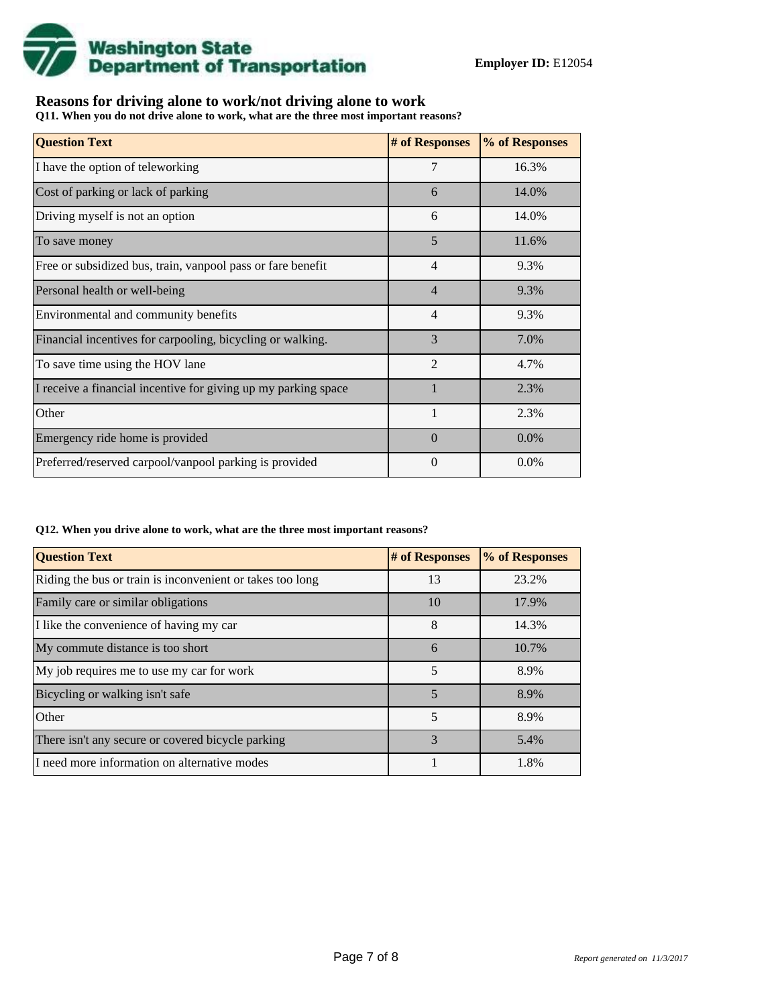

## **Reasons for driving alone to work/not driving alone to work**

**Q11. When you do not drive alone to work, what are the three most important reasons?**

| <b>Question Text</b>                                           | # of Responses | % of Responses |
|----------------------------------------------------------------|----------------|----------------|
| I have the option of teleworking                               | 7              | 16.3%          |
| Cost of parking or lack of parking                             | 6              | 14.0%          |
| Driving myself is not an option                                | 6              | 14.0%          |
| To save money                                                  | 5              | 11.6%          |
| Free or subsidized bus, train, vanpool pass or fare benefit    | 4              | 9.3%           |
| Personal health or well-being                                  | 4              | 9.3%           |
| Environmental and community benefits                           | $\overline{4}$ | 9.3%           |
| Financial incentives for carpooling, bicycling or walking.     | 3              | 7.0%           |
| To save time using the HOV lane                                | $\mathfrak{D}$ | 4.7%           |
| I receive a financial incentive for giving up my parking space |                | 2.3%           |
| Other                                                          |                | 2.3%           |
| Emergency ride home is provided                                | $\Omega$       | $0.0\%$        |
| Preferred/reserved carpool/vanpool parking is provided         | 0              | 0.0%           |

#### **Q12. When you drive alone to work, what are the three most important reasons?**

| <b>Question Text</b>                                      | # of Responses | % of Responses |
|-----------------------------------------------------------|----------------|----------------|
| Riding the bus or train is inconvenient or takes too long | 13             | 23.2%          |
| Family care or similar obligations                        | 10             | 17.9%          |
| I like the convenience of having my car                   | 8              | 14.3%          |
| My commute distance is too short                          | 6              | 10.7%          |
| My job requires me to use my car for work                 | 5              | 8.9%           |
| Bicycling or walking isn't safe                           | 5              | 8.9%           |
| Other                                                     | 5              | 8.9%           |
| There isn't any secure or covered bicycle parking         | 3              | 5.4%           |
| I need more information on alternative modes              |                | 1.8%           |